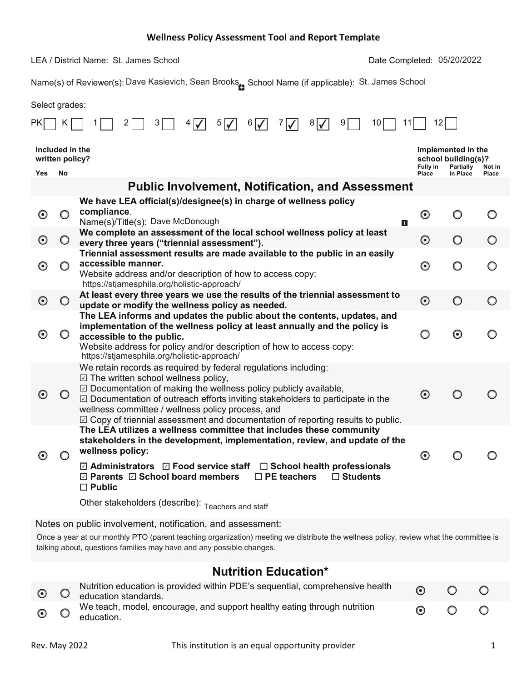LEA / District Name: St. James School

'DWH&RPSOHWHG St. James School 05/20/2022

Name(s) of Reviewer(s): Dave Kasievich, Sean Brooks<sub>m</sub>, School Name (if applicable): St. James School

Select grades:

|                       |                                    | 5<br>$6/\sqrt{2}$<br>8<br>10<br>4                                                                                                                                                                                                                                                                                                                                                                                                         | 12       |                                                        |        |
|-----------------------|------------------------------------|-------------------------------------------------------------------------------------------------------------------------------------------------------------------------------------------------------------------------------------------------------------------------------------------------------------------------------------------------------------------------------------------------------------------------------------------|----------|--------------------------------------------------------|--------|
|                       | Included in the<br>written policy? |                                                                                                                                                                                                                                                                                                                                                                                                                                           | Fully in | Implemented in the<br>school building(s)?<br>Partially | Not in |
| Yes                   | No                                 |                                                                                                                                                                                                                                                                                                                                                                                                                                           | Place    | in Place                                               | Place  |
|                       |                                    | <b>Public Involvement, Notification, and Assessment</b>                                                                                                                                                                                                                                                                                                                                                                                   |          |                                                        |        |
|                       |                                    | We have LEA official(s)/designee(s) in charge of wellness policy<br>compliance.                                                                                                                                                                                                                                                                                                                                                           |          |                                                        |        |
| $\boldsymbol{\odot}$  |                                    | Name(s)/Title(s): Dave McDonough<br>Ы                                                                                                                                                                                                                                                                                                                                                                                                     | $\odot$  | ◯                                                      | O      |
| $\boldsymbol{\Theta}$ | $\circ$                            | We complete an assessment of the local school wellness policy at least<br>every three years ("triennial assessment").                                                                                                                                                                                                                                                                                                                     | $\odot$  | $\bigcirc$                                             | O      |
| $\boldsymbol{\Theta}$ |                                    | Triennial assessment results are made available to the public in an easily<br>accessible manner.<br>Website address and/or description of how to access copy:                                                                                                                                                                                                                                                                             | $\odot$  | O                                                      | O      |
|                       |                                    | https://stjamesphila.org/holistic-approach/                                                                                                                                                                                                                                                                                                                                                                                               |          |                                                        |        |
| $\odot$               |                                    | At least every three years we use the results of the triennial assessment to<br>update or modify the wellness policy as needed.                                                                                                                                                                                                                                                                                                           | $\odot$  | $\bigcirc$                                             | O      |
| $\boldsymbol{\Theta}$ |                                    | The LEA informs and updates the public about the contents, updates, and<br>implementation of the wellness policy at least annually and the policy is<br>accessible to the public.<br>Website address for policy and/or description of how to access copy:<br>https://stjamesphila.org/holistic-approach/                                                                                                                                  | $\circ$  | $\odot$                                                |        |
| $\odot$               |                                    | We retain records as required by federal regulations including:<br>$\boxdot$ The written school wellness policy,<br>$\boxdot$ Documentation of making the wellness policy publicly available,<br>$\boxdot$ Documentation of outreach efforts inviting stakeholders to participate in the<br>wellness committee / wellness policy process, and<br>$\boxdot$ Copy of triennial assessment and documentation of reporting results to public. | $\odot$  | $\bigcirc$                                             |        |
| $\boldsymbol{\Theta}$ |                                    | The LEA utilizes a wellness committee that includes these community<br>stakeholders in the development, implementation, review, and update of the<br>wellness policy:<br>$\boxdot$ Administrators $\boxdot$ Food service staff<br>$\Box$ School health professionals<br>☑ Parents 2 School board members<br>$\Box$ PE teachers<br>$\Box$ Students                                                                                         | $\odot$  |                                                        |        |
|                       |                                    | $\square$ Public<br>Other stakeholders (describe): Teachers and staff                                                                                                                                                                                                                                                                                                                                                                     |          |                                                        |        |
|                       |                                    | Notes on public involvement, notification, and assessment:                                                                                                                                                                                                                                                                                                                                                                                |          |                                                        |        |

Once a year at our monthly PTO (parent teaching organization) meeting we distribute the wellness policy, review what the committee is talking about, questions families may have and any possible changes.

### **Nutrition Education\***

| $\odot$ $\odot$ | Nutrition education is provided within PDE's sequential, comprehensive health<br>education standards. |  |  |
|-----------------|-------------------------------------------------------------------------------------------------------|--|--|
| $\odot$         | We teach, model, encourage, and support healthy eating through nutrition<br>education.                |  |  |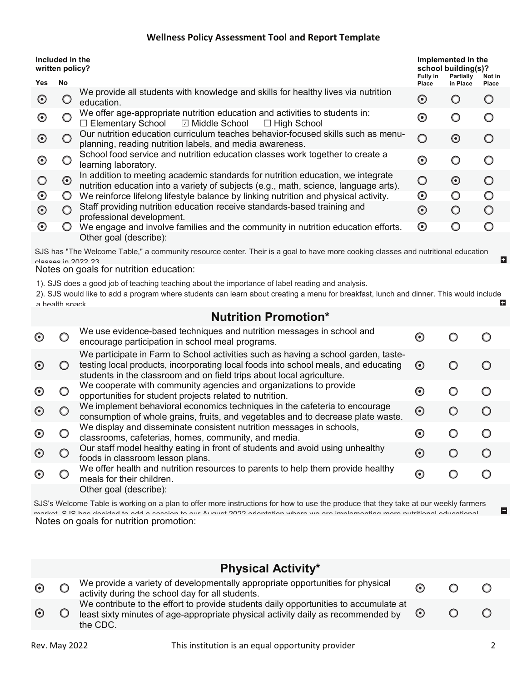| Included in the<br>written policy? |                                                                                                                                  |                                                                                                                                                                         | Implemented in the<br>school building(s)?<br>Partially<br><b>Fully in</b><br>Not in |            |              |  |  |  |
|------------------------------------|----------------------------------------------------------------------------------------------------------------------------------|-------------------------------------------------------------------------------------------------------------------------------------------------------------------------|-------------------------------------------------------------------------------------|------------|--------------|--|--|--|
| Yes                                | No                                                                                                                               |                                                                                                                                                                         | Place                                                                               | in Place   | <b>Place</b> |  |  |  |
| $\left( \bullet \right)$           |                                                                                                                                  | We provide all students with knowledge and skills for healthy lives via nutrition<br>education.                                                                         | $\left( \bullet \right)$                                                            |            |              |  |  |  |
| $\boldsymbol{\odot}$               |                                                                                                                                  | We offer age-appropriate nutrition education and activities to students in:<br>$\Box$ Elementary School $\Box$ Middle School<br>$\Box$ High School                      | $\boldsymbol{\odot}$                                                                |            | O            |  |  |  |
| $\bm{\odot}$                       |                                                                                                                                  | Our nutrition education curriculum teaches behavior-focused skills such as menu-<br>planning, reading nutrition labels, and media awareness.                            | $\bigcirc$                                                                          | $\odot$    | ∩            |  |  |  |
| ⊙                                  |                                                                                                                                  | School food service and nutrition education classes work together to create a<br>learning laboratory.                                                                   | $\bm{\odot}$                                                                        |            |              |  |  |  |
|                                    | $\odot$                                                                                                                          | In addition to meeting academic standards for nutrition education, we integrate<br>nutrition education into a variety of subjects (e.g., math, science, language arts). | $\bigcirc$                                                                          | $\odot$    | $\bigcirc$   |  |  |  |
| $\boldsymbol{\odot}$               |                                                                                                                                  | We reinforce lifelong lifestyle balance by linking nutrition and physical activity.                                                                                     | $\boldsymbol{\Theta}$                                                               | $\bigcirc$ | $\bigcirc$   |  |  |  |
| $\boldsymbol{\odot}$               |                                                                                                                                  | Staff providing nutrition education receive standards-based training and<br>professional development.                                                                   | $\boldsymbol{\odot}$                                                                | $\bigcirc$ | $\bigcirc$   |  |  |  |
| $\odot$                            |                                                                                                                                  | We engage and involve families and the community in nutrition education efforts.                                                                                        | $\odot$                                                                             | O          | ∩            |  |  |  |
|                                    |                                                                                                                                  | Other goal (describe):                                                                                                                                                  |                                                                                     |            |              |  |  |  |
|                                    | SJS has "The Welcome Table," a community resource center. Their is a goal to have more cooking classes and nutritional education |                                                                                                                                                                         |                                                                                     |            |              |  |  |  |

Notes on goals for nutrition education: classes in 2022 23

1). SJS does a good job of teaching teaching about the importance of label reading and analysis.

2). SJS would like to add a program where students can learn about creating a menu for breakfast, lunch and dinner. This would include E. a health snack

## **Nutrition Promotion\***

|                              | We use evidence-based techniques and nutrition messages in school and<br>encourage participation in school meal programs.                                                                                                                         | $\left( \bullet \right)$ |  |
|------------------------------|---------------------------------------------------------------------------------------------------------------------------------------------------------------------------------------------------------------------------------------------------|--------------------------|--|
| $\left($ $\bullet$ $\right)$ | We participate in Farm to School activities such as having a school garden, taste-<br>testing local products, incorporating local foods into school meals, and educating<br>students in the classroom and on field trips about local agriculture. | $\left( \bullet \right)$ |  |
|                              | We cooperate with community agencies and organizations to provide<br>opportunities for student projects related to nutrition.                                                                                                                     | $\left( \bullet \right)$ |  |
| $\left( \bullet \right)$     | We implement behavioral economics techniques in the cafeteria to encourage<br>consumption of whole grains, fruits, and vegetables and to decrease plate waste.                                                                                    | $\left( \bullet \right)$ |  |
| $(\bullet)$                  | We display and disseminate consistent nutrition messages in schools,<br>classrooms, cafeterias, homes, community, and media.                                                                                                                      | $\left( \bullet \right)$ |  |
| $\left( \bullet \right)$     | Our staff model healthy eating in front of students and avoid using unhealthy<br>foods in classroom lesson plans.                                                                                                                                 | $\left( \bullet \right)$ |  |
|                              | We offer health and nutrition resources to parents to help them provide healthy<br>meals for their children.                                                                                                                                      | ⊙                        |  |
|                              | Other goal (describe):                                                                                                                                                                                                                            |                          |  |

Notes on goals for nutrition promotion: SJS's Welcome Table is working on a plan to offer more instructions for how to use the produce that they take at our weekly farmers market SJS has decided to add a session to our August 2022 orientation where we are implementing more nutritional educational

### **Physical Activity\***

| We contribute to the effort to provide students daily opportunities to accumulate at<br>$\odot$<br>least sixty minutes of age-appropriate physical activity daily as recommended by $\heartsuit$<br>the CDC. |  |
|--------------------------------------------------------------------------------------------------------------------------------------------------------------------------------------------------------------|--|

E.

 $\mathbf{H}$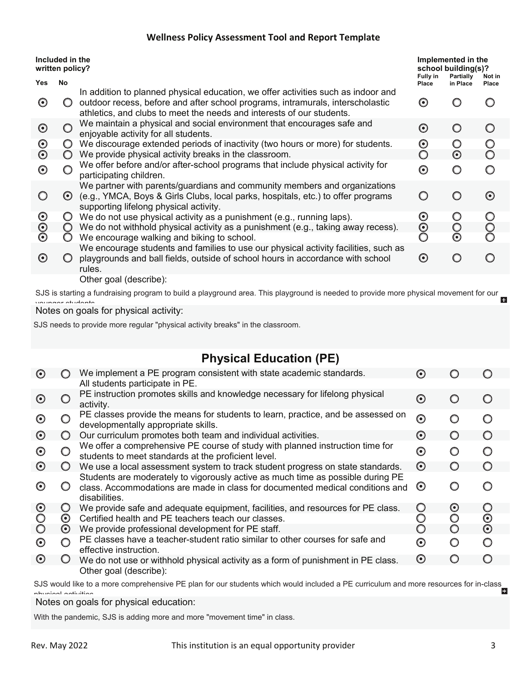| Included in the<br>written policy? |         | Implemented in the<br>school building(s)?                                                                                                                                                                                                    |                            |                         |                 |
|------------------------------------|---------|----------------------------------------------------------------------------------------------------------------------------------------------------------------------------------------------------------------------------------------------|----------------------------|-------------------------|-----------------|
| <b>Yes</b>                         | No      |                                                                                                                                                                                                                                              | Fully in<br>Place          | Partially<br>in Place   | Not in<br>Place |
| $\odot$                            |         | In addition to planned physical education, we offer activities such as indoor and<br>outdoor recess, before and after school programs, intramurals, interscholastic<br>athletics, and clubs to meet the needs and interests of our students. | $\bm{\odot}$               |                         |                 |
| $\odot$                            |         | We maintain a physical and social environment that encourages safe and<br>enjoyable activity for all students.                                                                                                                               | $\bm{\odot}$               |                         | $\bigcirc$      |
| $\boldsymbol{\Theta}$<br>$\odot$   | $\cup$  | We discourage extended periods of inactivity (two hours or more) for students.<br>We provide physical activity breaks in the classroom.                                                                                                      | $\boldsymbol{\Theta}$<br>◯ | $\odot$                 |                 |
| $\bm{\odot}$                       |         | We offer before and/or after-school programs that include physical activity for<br>participating children.                                                                                                                                   | $\boldsymbol{\odot}$       |                         |                 |
|                                    | $\odot$ | We partner with parents/guardians and community members and organizations<br>(e.g., YMCA, Boys & Girls Clubs, local parks, hospitals, etc.) to offer programs<br>supporting lifelong physical activity.                                      |                            |                         | $\odot$         |
| $\boldsymbol{\odot}$               |         | We do not use physical activity as a punishment (e.g., running laps).                                                                                                                                                                        | $\mathbf{\Theta}$          |                         |                 |
| $\boldsymbol{\odot}$<br>$\odot$    | $\circ$ | We do not withhold physical activity as a punishment (e.g., taking away recess).<br>We encourage walking and biking to school.                                                                                                               | $\boldsymbol{\odot}$<br>O  | $\circ$<br>$\bm{\odot}$ |                 |
| $\odot$                            |         | We encourage students and families to use our physical activity facilities, such as<br>playgrounds and ball fields, outside of school hours in accordance with school<br>rules.                                                              | $\odot$                    |                         |                 |
|                                    |         | Other goal (describe):                                                                                                                                                                                                                       |                            |                         |                 |

SJS is starting a fundraising program to build a playground area. This playground is needed to provide more physical movement for our younger students

Notes on goals for physical activity:

SJS needs to provide more regular "physical activity breaks" in the classroom.

# **Physical Education (PE)**

| $\odot$    |         | We implement a PE program consistent with state academic standards.<br>All students participate in PE.                                                                            | ⊙                     |                       |                      |
|------------|---------|-----------------------------------------------------------------------------------------------------------------------------------------------------------------------------------|-----------------------|-----------------------|----------------------|
| $\left($   |         | PE instruction promotes skills and knowledge necessary for lifelong physical<br>activity.                                                                                         | $\boldsymbol{\Theta}$ |                       |                      |
| $\odot$    |         | PE classes provide the means for students to learn, practice, and be assessed on<br>developmentally appropriate skills.                                                           | $\odot$               |                       |                      |
| $\odot$    |         | Our curriculum promotes both team and individual activities.                                                                                                                      | $\odot$               | O                     |                      |
| $\odot$    | O       | We offer a comprehensive PE course of study with planned instruction time for<br>students to meet standards at the proficient level.                                              | $\boldsymbol{\odot}$  | $\bigcirc$            | O                    |
| $\odot$    |         | We use a local assessment system to track student progress on state standards.                                                                                                    | $\odot$               | $\bigcap$             |                      |
| $\odot$    |         | Students are moderately to vigorously active as much time as possible during PE<br>class. Accommodations are made in class for documented medical conditions and<br>disabilities. | $\odot$               |                       |                      |
| $\odot$    | O       | We provide safe and adequate equipment, facilities, and resources for PE class.                                                                                                   | Ő                     | $\boldsymbol{\Theta}$ | $\circ$              |
| $\bigcirc$ | $\odot$ | Certified health and PE teachers teach our classes.                                                                                                                               |                       | O                     | $\boldsymbol{\odot}$ |
| $\circ$    | $\odot$ | We provide professional development for PE staff.                                                                                                                                 |                       | $\bigcirc$            | $\odot$              |
| $\odot$    |         | PE classes have a teacher-student ratio similar to other courses for safe and<br>effective instruction.                                                                           | $\bm{\odot}$          | $\bigcirc$            | O                    |
| $\odot$    |         | We do not use or withhold physical activity as a form of punishment in PE class.                                                                                                  | $\odot$               | O                     |                      |
|            |         | Other goal (describe):                                                                                                                                                            |                       |                       |                      |

SJS would like to a more comprehensive PE plan for our students which would included a PE curriculum and more resources for in-class physical activities

Notes on goals for physical education:

With the pandemic, SJS is adding more and more "movement time" in class.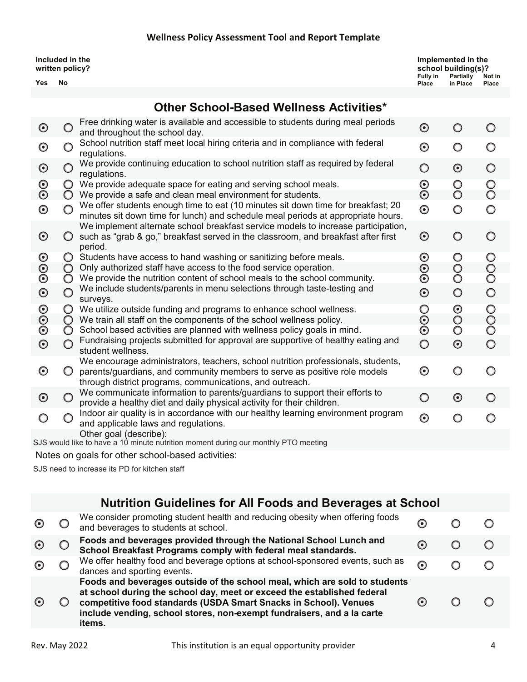| Included in the<br>written policy?<br>No<br>Yes |                                                                                                                   | Implemented in the<br>school building(s)?<br>Fully in<br>Partially<br>in Place<br>Place |  | Not in<br><b>Place</b> |  |  |  |  |  |
|-------------------------------------------------|-------------------------------------------------------------------------------------------------------------------|-----------------------------------------------------------------------------------------|--|------------------------|--|--|--|--|--|
|                                                 | <b>Other School-Based Wellness Activities*</b>                                                                    |                                                                                         |  |                        |  |  |  |  |  |
|                                                 |                                                                                                                   |                                                                                         |  |                        |  |  |  |  |  |
| $\boldsymbol{\odot}$                            | Free drinking water is available and accessible to students during meal periods<br>and throughout the school day. | $\odot$                                                                                 |  |                        |  |  |  |  |  |
| െ                                               | School nutrition staff meet local hiring criteria and in compliance with federal                                  | െ                                                                                       |  |                        |  |  |  |  |  |

| $\boldsymbol{\odot}$            |                 | Scribol nutrition staff meet local nimig criteria and in compilance with regeral<br>regulations.                                                                                                                          | $\boldsymbol{\odot}$            |                    | ◯                     |
|---------------------------------|-----------------|---------------------------------------------------------------------------------------------------------------------------------------------------------------------------------------------------------------------------|---------------------------------|--------------------|-----------------------|
| $\boldsymbol{\odot}$            |                 | We provide continuing education to school nutrition staff as required by federal<br>regulations.                                                                                                                          | $\circ$                         | $\odot$            | $\bigcirc$            |
| $\boldsymbol{\odot}$<br>$\odot$ | O<br>$\bigcirc$ | We provide adequate space for eating and serving school meals.<br>We provide a safe and clean meal environment for students.                                                                                              | $\boldsymbol{\odot}$<br>$\odot$ | $\circ$<br>$\circ$ | $\circ$<br>$\bigcirc$ |
| $\boldsymbol{\odot}$            |                 | We offer students enough time to eat (10 minutes sit down time for breakfast; 20<br>minutes sit down time for lunch) and schedule meal periods at appropriate hours.                                                      | $\odot$                         | O                  | O                     |
| $\boldsymbol{\odot}$            |                 | We implement alternate school breakfast service models to increase participation,<br>such as "grab & go," breakfast served in the classroom, and breakfast after first<br>period.                                         | $\odot$                         | O                  | ◯                     |
| $\boldsymbol{\odot}$            |                 | Students have access to hand washing or sanitizing before meals.                                                                                                                                                          | $\boldsymbol{\odot}$            | $\circ$            | $\circ$               |
| $\boldsymbol{\odot}$            | $\bigcirc$      | Only authorized staff have access to the food service operation.                                                                                                                                                          | $\boldsymbol{\odot}$            | $\circ$            | $\rm{O}$              |
| $\boldsymbol{\odot}$            | O               | We provide the nutrition content of school meals to the school community.                                                                                                                                                 | $\boldsymbol{\odot}$            | O                  |                       |
| $\boldsymbol{\odot}$            | O               | We include students/parents in menu selections through taste-testing and<br>surveys.                                                                                                                                      | $\boldsymbol{\odot}$            | $\circ$            | $\circ$               |
| $\boldsymbol{\odot}$            | O               | We utilize outside funding and programs to enhance school wellness.                                                                                                                                                       | O                               | $\bm{\odot}$       | $\circ$               |
| $\odot$                         | $\bigcirc$      | We train all staff on the components of the school wellness policy.                                                                                                                                                       | $\boldsymbol{\odot}$            | $\circ$            | $\circ$               |
| $\boldsymbol{\odot}$            | O               | School based activities are planned with wellness policy goals in mind.                                                                                                                                                   | $\boldsymbol{\odot}$            | O                  | $\circ$               |
| $\boldsymbol{\odot}$            |                 | Fundraising projects submitted for approval are supportive of healthy eating and<br>student wellness.                                                                                                                     | $\circ$                         | $\odot$            | $\circ$               |
| $\boldsymbol{\odot}$            |                 | We encourage administrators, teachers, school nutrition professionals, students,<br>parents/guardians, and community members to serve as positive role models<br>through district programs, communications, and outreach. | $\boldsymbol{\odot}$            |                    |                       |
| $\bm{\odot}$                    |                 | We communicate information to parents/guardians to support their efforts to<br>provide a healthy diet and daily physical activity for their children.                                                                     | $\bigcirc$                      | $\bm{\odot}$       |                       |
|                                 |                 | Indoor air quality is in accordance with our healthy learning environment program<br>and applicable laws and regulations.                                                                                                 | $\boldsymbol{\odot}$            | O                  |                       |
|                                 |                 | Other goal (describe):<br>SJS would like to have a 10 minute nutrition moment during our monthly PTO meeting                                                                                                              |                                 |                    |                       |

Notes on goals for other school-based activities:

SJS need to increase its PD for kitchen staff

| <b>Nutrition Guidelines for All Foods and Beverages at School</b> |  |  |  |  |
|-------------------------------------------------------------------|--|--|--|--|
|-------------------------------------------------------------------|--|--|--|--|

|  | We consider promoting student health and reducing obesity when offering foods<br>and beverages to students at school.                                                                                                                                                                                         | $\boldsymbol{\Theta}$    |  |
|--|---------------------------------------------------------------------------------------------------------------------------------------------------------------------------------------------------------------------------------------------------------------------------------------------------------------|--------------------------|--|
|  | Foods and beverages provided through the National School Lunch and<br>School Breakfast Programs comply with federal meal standards.                                                                                                                                                                           | $\left( \bullet \right)$ |  |
|  | We offer healthy food and beverage options at school-sponsored events, such as<br>dances and sporting events.                                                                                                                                                                                                 | $\bm{\odot}$             |  |
|  | Foods and beverages outside of the school meal, which are sold to students<br>at school during the school day, meet or exceed the established federal<br>competitive food standards (USDA Smart Snacks in School). Venues<br>include vending, school stores, non-exempt fundraisers, and a la carte<br>items. |                          |  |